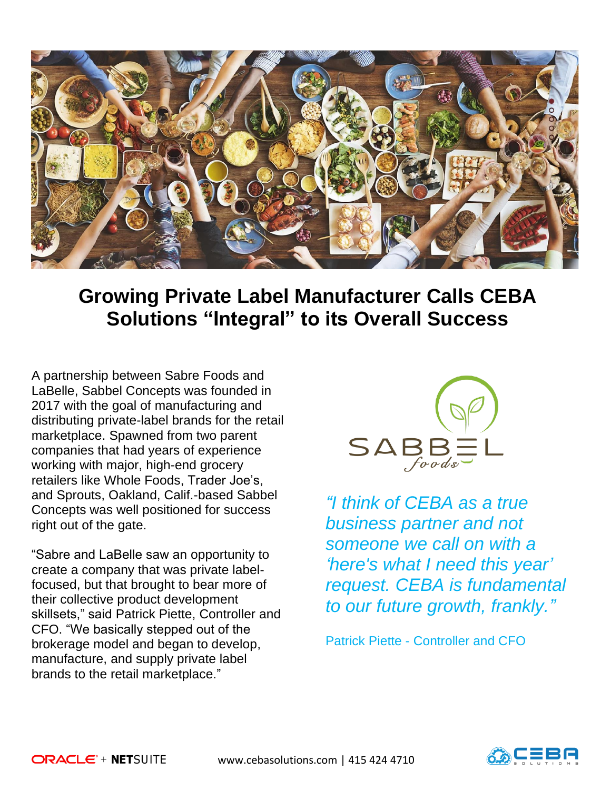

# **Growing Private Label Manufacturer Calls CEBA Solutions "Integral" to its Overall Success**

A partnership between Sabre Foods and LaBelle, Sabbel Concepts was founded in 2017 with the goal of manufacturing and distributing private-label brands for the retail marketplace. Spawned from two parent companies that had years of experience working with major, high-end grocery retailers like Whole Foods, Trader Joe's, and Sprouts, Oakland, Calif.-based Sabbel Concepts was well positioned for success right out of the gate.

"Sabre and LaBelle saw an opportunity to create a company that was private labelfocused, but that brought to bear more of their collective product development skillsets," said Patrick Piette, Controller and CFO. "We basically stepped out of the brokerage model and began to develop, manufacture, and supply private label brands to the retail marketplace."



*"I think of CEBA as a true business partner and not someone we call on with a 'here's what I need this year' request. CEBA is fundamental to our future growth, frankly."*

Patrick Piette - Controller and CFO

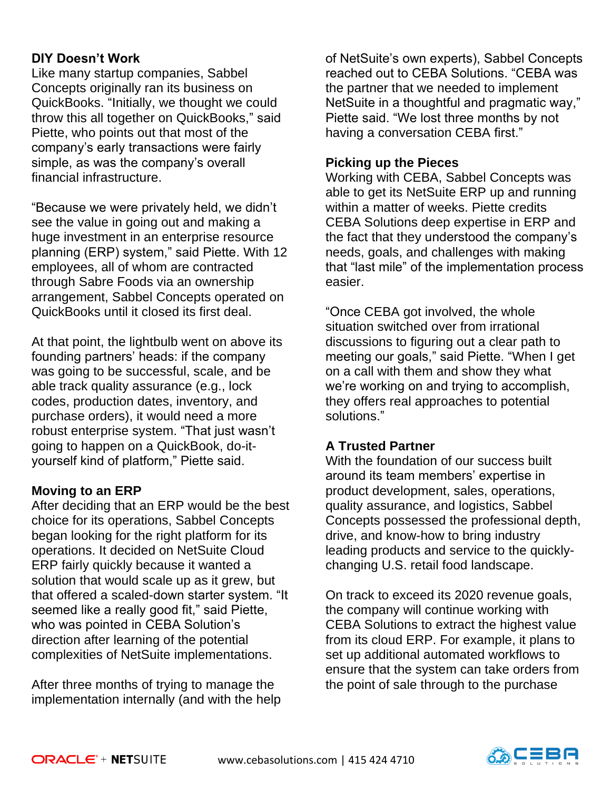# **DIY Doesn't Work**

Like many startup companies, Sabbel Concepts originally ran its business on QuickBooks. "Initially, we thought we could throw this all together on QuickBooks," said Piette, who points out that most of the company's early transactions were fairly simple, as was the company's overall financial infrastructure.

"Because we were privately held, we didn't see the value in going out and making a huge investment in an enterprise resource planning (ERP) system," said Piette. With 12 employees, all of whom are contracted through Sabre Foods via an ownership arrangement, Sabbel Concepts operated on QuickBooks until it closed its first deal.

At that point, the lightbulb went on above its founding partners' heads: if the company was going to be successful, scale, and be able track quality assurance (e.g., lock codes, production dates, inventory, and purchase orders), it would need a more robust enterprise system. "That just wasn't going to happen on a QuickBook, do-ityourself kind of platform," Piette said.

#### **Moving to an ERP**

After deciding that an ERP would be the best choice for its operations, Sabbel Concepts began looking for the right platform for its operations. It decided on NetSuite Cloud ERP fairly quickly because it wanted a solution that would scale up as it grew, but that offered a scaled-down starter system. "It seemed like a really good fit," said Piette, who was pointed in CEBA Solution's direction after learning of the potential complexities of NetSuite implementations.

After three months of trying to manage the implementation internally (and with the help of NetSuite's own experts), Sabbel Concepts reached out to CEBA Solutions. "CEBA was the partner that we needed to implement NetSuite in a thoughtful and pragmatic way," Piette said. "We lost three months by not having a conversation CEBA first."

### **Picking up the Pieces**

Working with CEBA, Sabbel Concepts was able to get its NetSuite ERP up and running within a matter of weeks. Piette credits CEBA Solutions deep expertise in ERP and the fact that they understood the company's needs, goals, and challenges with making that "last mile" of the implementation process easier.

"Once CEBA got involved, the whole situation switched over from irrational discussions to figuring out a clear path to meeting our goals," said Piette. "When I get on a call with them and show they what we're working on and trying to accomplish, they offers real approaches to potential solutions."

## **A Trusted Partner**

With the foundation of our success built around its team members' expertise in product development, sales, operations, quality assurance, and logistics, Sabbel Concepts possessed the professional depth, drive, and know-how to bring industry leading products and service to the quicklychanging U.S. retail food landscape.

On track to exceed its 2020 revenue goals, the company will continue working with CEBA Solutions to extract the highest value from its cloud ERP. For example, it plans to set up additional automated workflows to ensure that the system can take orders from the point of sale through to the purchase